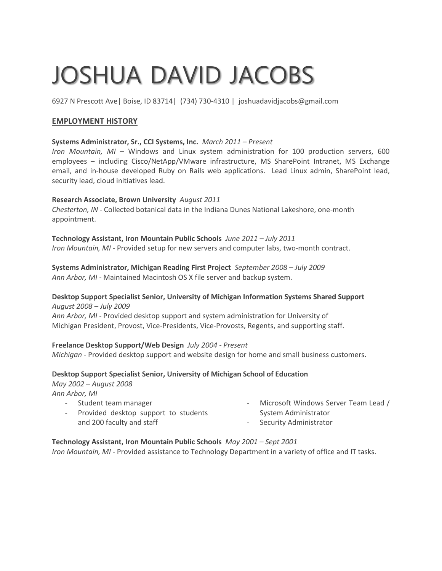# JOSHUA DAVID JACOBS

6927 N Prescott Ave| Boise, ID 83714| (734) 730-4310 | joshuadavidjacobs@gmail.com

## **EMPLOYMENT HISTORY**

## **Systems Administrator, Sr., CCI Systems, Inc.** *March 2011 – Present*

*Iron Mountain, MI –* Windows and Linux system administration for 100 production servers, 600 employees – including Cisco/NetApp/VMware infrastructure, MS SharePoint Intranet, MS Exchange email, and in-house developed Ruby on Rails web applications. Lead Linux admin, SharePoint lead, security lead, cloud initiatives lead.

## **Research Associate, Brown University** *August 2011*

*Chesterton, IN* - Collected botanical data in the Indiana Dunes National Lakeshore, one-month appointment.

**Technology Assistant, Iron Mountain Public Schools** *June 2011 – July 2011 Iron Mountain, MI -* Provided setup for new servers and computer labs, two-month contract.

**Systems Administrator, Michigan Reading First Project** *September 2008 – July 2009 Ann Arbor, MI -* Maintained Macintosh OS X file server and backup system.

## **Desktop Support Specialist Senior, University of Michigan Information Systems Shared Support** *August 2008 – July 2009*

*Ann Arbor, MI* - Provided desktop support and system administration for University of Michigan President, Provost, Vice-Presidents, Vice-Provosts, Regents, and supporting staff.

## **Freelance Desktop Support/Web Design** *July 2004 - Present*

*Michigan -* Provided desktop support and website design for home and small business customers.

## **Desktop Support Specialist Senior, University of Michigan School of Education**

*May 2002 – August 2008*

*Ann Arbor, MI*

| - Student team manager                 | - Microsoft Windows Server Team Lead / |
|----------------------------------------|----------------------------------------|
| - Provided desktop support to students | System Administrator                   |
| and 200 faculty and staff              | - Security Administrator               |
|                                        |                                        |

## **Technology Assistant, Iron Mountain Public Schools** *May 2001 – Sept 2001*

*Iron Mountain, MI -* Provided assistance to Technology Department in a variety of office and IT tasks.